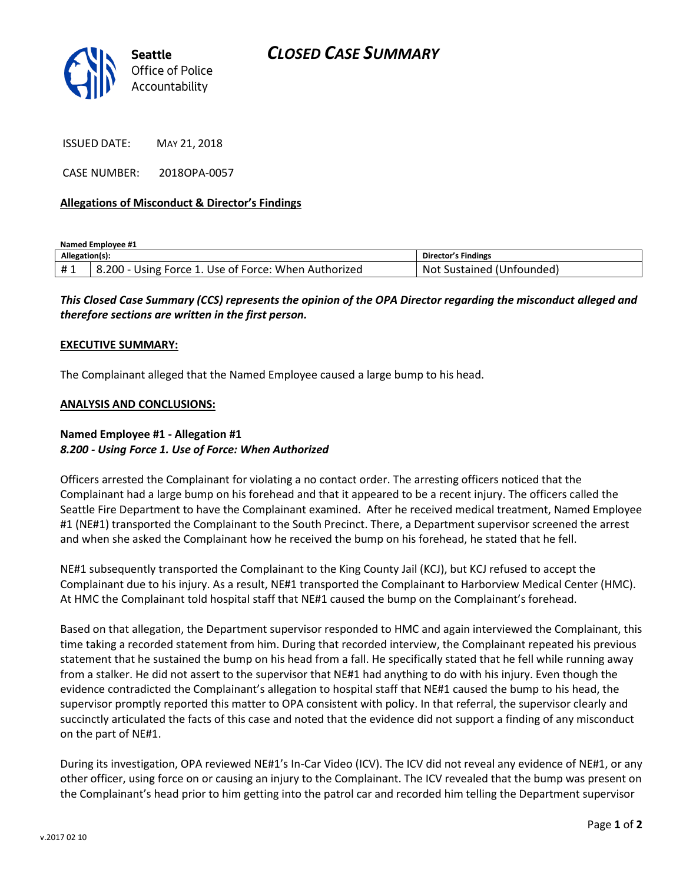

ISSUED DATE: MAY 21, 2018

CASE NUMBER: 2018OPA-0057

### **Allegations of Misconduct & Director's Findings**

**Named Employee #1**

| Allegation(s): |                                                      | Director's Findings             |
|----------------|------------------------------------------------------|---------------------------------|
| #1             | 8.200 - Using Force 1. Use of Force: When Authorized | : Sustained (Unfounded)<br>-Not |

*This Closed Case Summary (CCS) represents the opinion of the OPA Director regarding the misconduct alleged and therefore sections are written in the first person.* 

#### **EXECUTIVE SUMMARY:**

The Complainant alleged that the Named Employee caused a large bump to his head.

#### **ANALYSIS AND CONCLUSIONS:**

## **Named Employee #1 - Allegation #1** *8.200 - Using Force 1. Use of Force: When Authorized*

Officers arrested the Complainant for violating a no contact order. The arresting officers noticed that the Complainant had a large bump on his forehead and that it appeared to be a recent injury. The officers called the Seattle Fire Department to have the Complainant examined. After he received medical treatment, Named Employee #1 (NE#1) transported the Complainant to the South Precinct. There, a Department supervisor screened the arrest and when she asked the Complainant how he received the bump on his forehead, he stated that he fell.

NE#1 subsequently transported the Complainant to the King County Jail (KCJ), but KCJ refused to accept the Complainant due to his injury. As a result, NE#1 transported the Complainant to Harborview Medical Center (HMC). At HMC the Complainant told hospital staff that NE#1 caused the bump on the Complainant's forehead.

Based on that allegation, the Department supervisor responded to HMC and again interviewed the Complainant, this time taking a recorded statement from him. During that recorded interview, the Complainant repeated his previous statement that he sustained the bump on his head from a fall. He specifically stated that he fell while running away from a stalker. He did not assert to the supervisor that NE#1 had anything to do with his injury. Even though the evidence contradicted the Complainant's allegation to hospital staff that NE#1 caused the bump to his head, the supervisor promptly reported this matter to OPA consistent with policy. In that referral, the supervisor clearly and succinctly articulated the facts of this case and noted that the evidence did not support a finding of any misconduct on the part of NE#1.

During its investigation, OPA reviewed NE#1's In-Car Video (ICV). The ICV did not reveal any evidence of NE#1, or any other officer, using force on or causing an injury to the Complainant. The ICV revealed that the bump was present on the Complainant's head prior to him getting into the patrol car and recorded him telling the Department supervisor